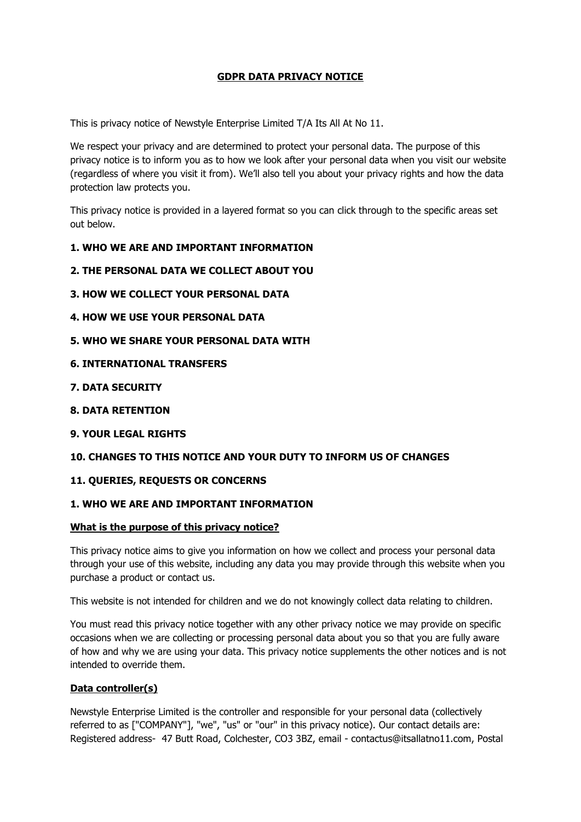# **GDPR DATA PRIVACY NOTICE**

This is privacy notice of Newstyle Enterprise Limited T/A Its All At No 11.

We respect your privacy and are determined to protect your personal data. The purpose of this privacy notice is to inform you as to how we look after your personal data when you visit our website (regardless of where you visit it from). We'll also tell you about your privacy rights and how the data protection law protects you.

This privacy notice is provided in a layered format so you can click through to the specific areas set out below.

#### **1. WHO WE ARE AND IMPORTANT INFORMATION**

- **2. THE PERSONAL DATA WE COLLECT ABOUT YOU**
- **3. HOW WE COLLECT YOUR PERSONAL DATA**
- **4. HOW WE USE YOUR PERSONAL DATA**
- **5. WHO WE SHARE YOUR PERSONAL DATA WITH**
- **6. INTERNATIONAL TRANSFERS**
- **7. DATA SECURITY**
- **8. DATA RETENTION**
- **9. YOUR LEGAL RIGHTS**

### **10. CHANGES TO THIS NOTICE AND YOUR DUTY TO INFORM US OF CHANGES**

#### **11. QUERIES, REQUESTS OR CONCERNS**

#### **1. WHO WE ARE AND IMPORTANT INFORMATION**

#### **What is the purpose of this privacy notice?**

This privacy notice aims to give you information on how we collect and process your personal data through your use of this website, including any data you may provide through this website when you purchase a product or contact us.

This website is not intended for children and we do not knowingly collect data relating to children.

You must read this privacy notice together with any other privacy notice we may provide on specific occasions when we are collecting or processing personal data about you so that you are fully aware of how and why we are using your data. This privacy notice supplements the other notices and is not intended to override them.

#### **Data controller(s)**

Newstyle Enterprise Limited is the controller and responsible for your personal data (collectively referred to as ["COMPANY"], "we", "us" or "our" in this privacy notice). Our contact details are: Registered address- 47 Butt Road, Colchester, CO3 3BZ, email - contactus@itsallatno11.com, Postal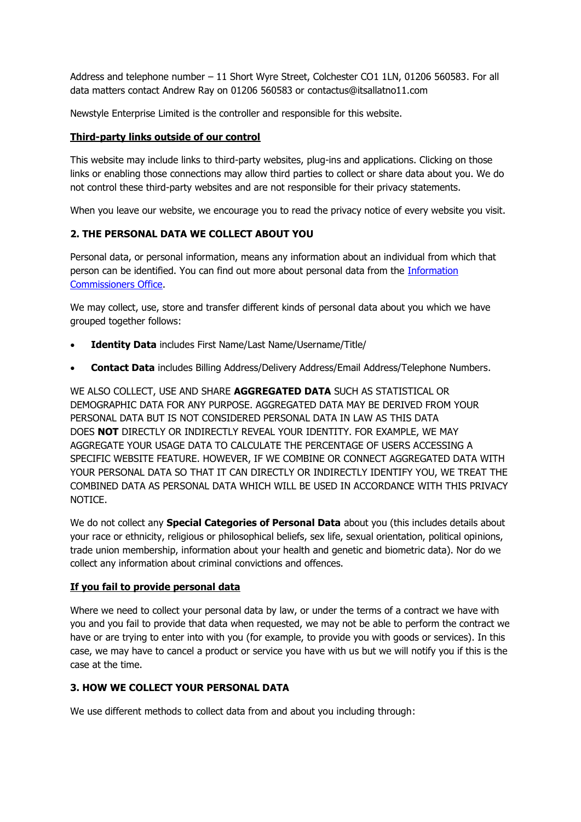Address and telephone number – 11 Short Wyre Street, Colchester CO1 1LN, 01206 560583. For all data matters contact Andrew Ray on 01206 560583 or contactus@itsallatno11.com

Newstyle Enterprise Limited is the controller and responsible for this website.

#### **Third-party links outside of our control**

This website may include links to third-party websites, plug-ins and applications. Clicking on those links or enabling those connections may allow third parties to collect or share data about you. We do not control these third-party websites and are not responsible for their privacy statements.

When you leave our website, we encourage you to read the privacy notice of every website you visit.

# **2. THE PERSONAL DATA WE COLLECT ABOUT YOU**

Personal data, or personal information, means any information about an individual from which that person can be identified. You can find out more about personal data from the [Information](https://ico.org.uk/global/contact-us/)  [Commissioners Office.](https://ico.org.uk/global/contact-us/)

We may collect, use, store and transfer different kinds of personal data about you which we have grouped together follows:

- **Identity Data** includes First Name/Last Name/Username/Title/
- **Contact Data** includes Billing Address/Delivery Address/Email Address/Telephone Numbers.

WE ALSO COLLECT, USE AND SHARE **AGGREGATED DATA** SUCH AS STATISTICAL OR DEMOGRAPHIC DATA FOR ANY PURPOSE. AGGREGATED DATA MAY BE DERIVED FROM YOUR PERSONAL DATA BUT IS NOT CONSIDERED PERSONAL DATA IN LAW AS THIS DATA DOES **NOT** DIRECTLY OR INDIRECTLY REVEAL YOUR IDENTITY. FOR EXAMPLE, WE MAY AGGREGATE YOUR USAGE DATA TO CALCULATE THE PERCENTAGE OF USERS ACCESSING A SPECIFIC WEBSITE FEATURE. HOWEVER, IF WE COMBINE OR CONNECT AGGREGATED DATA WITH YOUR PERSONAL DATA SO THAT IT CAN DIRECTLY OR INDIRECTLY IDENTIFY YOU, WE TREAT THE COMBINED DATA AS PERSONAL DATA WHICH WILL BE USED IN ACCORDANCE WITH THIS PRIVACY **NOTICE** 

We do not collect any **Special Categories of Personal Data** about you (this includes details about your race or ethnicity, religious or philosophical beliefs, sex life, sexual orientation, political opinions, trade union membership, information about your health and genetic and biometric data). Nor do we collect any information about criminal convictions and offences.

#### **If you fail to provide personal data**

Where we need to collect your personal data by law, or under the terms of a contract we have with you and you fail to provide that data when requested, we may not be able to perform the contract we have or are trying to enter into with you (for example, to provide you with goods or services). In this case, we may have to cancel a product or service you have with us but we will notify you if this is the case at the time.

### **3. HOW WE COLLECT YOUR PERSONAL DATA**

We use different methods to collect data from and about you including through: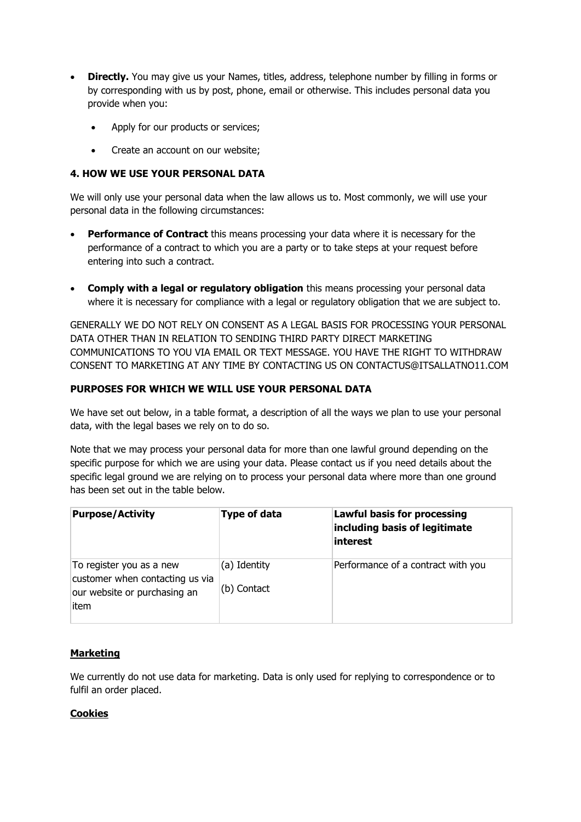- **Directly.** You may give us your Names, titles, address, telephone number by filling in forms or by corresponding with us by post, phone, email or otherwise. This includes personal data you provide when you:
	- Apply for our products or services;
	- Create an account on our website;

# **4. HOW WE USE YOUR PERSONAL DATA**

We will only use your personal data when the law allows us to. Most commonly, we will use your personal data in the following circumstances:

- **Performance of Contract** this means processing your data where it is necessary for the performance of a contract to which you are a party or to take steps at your request before entering into such a contract.
- **Comply with a legal or regulatory obligation** this means processing your personal data where it is necessary for compliance with a legal or regulatory obligation that we are subject to.

GENERALLY WE DO NOT RELY ON CONSENT AS A LEGAL BASIS FOR PROCESSING YOUR PERSONAL DATA OTHER THAN IN RELATION TO SENDING THIRD PARTY DIRECT MARKETING COMMUNICATIONS TO YOU VIA EMAIL OR TEXT MESSAGE. YOU HAVE THE RIGHT TO WITHDRAW CONSENT TO MARKETING AT ANY TIME BY CONTACTING US ON CONTACTUS@ITSALLATNO11.COM

# **PURPOSES FOR WHICH WE WILL USE YOUR PERSONAL DATA**

We have set out below, in a table format, a description of all the ways we plan to use your personal data, with the legal bases we rely on to do so.

Note that we may process your personal data for more than one lawful ground depending on the specific purpose for which we are using your data. Please contact us if you need details about the specific legal ground we are relying on to process your personal data where more than one ground has been set out in the table below.

| <b>Purpose/Activity</b>                                                                             | <b>Type of data</b>         | <b>Lawful basis for processing</b><br>including basis of legitimate<br><i>interest</i> |
|-----------------------------------------------------------------------------------------------------|-----------------------------|----------------------------------------------------------------------------------------|
| To register you as a new<br>customer when contacting us via<br>our website or purchasing an<br>item | (a) Identity<br>(b) Contact | Performance of a contract with you                                                     |

### **Marketing**

We currently do not use data for marketing. Data is only used for replying to correspondence or to fulfil an order placed.

### **Cookies**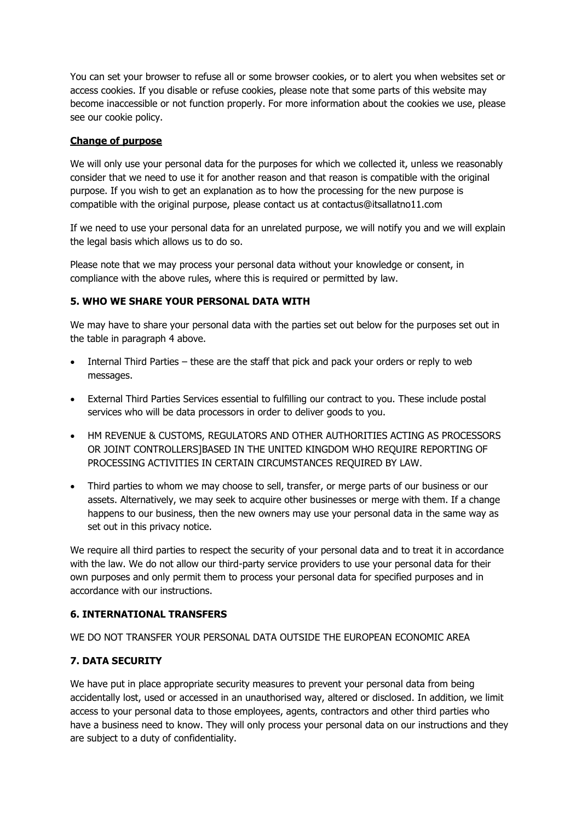You can set your browser to refuse all or some browser cookies, or to alert you when websites set or access cookies. If you disable or refuse cookies, please note that some parts of this website may become inaccessible or not function properly. For more information about the cookies we use, please see our cookie policy.

#### **Change of purpose**

We will only use your personal data for the purposes for which we collected it, unless we reasonably consider that we need to use it for another reason and that reason is compatible with the original purpose. If you wish to get an explanation as to how the processing for the new purpose is compatible with the original purpose, please contact us at contactus@itsallatno11.com

If we need to use your personal data for an unrelated purpose, we will notify you and we will explain the legal basis which allows us to do so.

Please note that we may process your personal data without your knowledge or consent, in compliance with the above rules, where this is required or permitted by law.

#### **5. WHO WE SHARE YOUR PERSONAL DATA WITH**

We may have to share your personal data with the parties set out below for the purposes set out in the table in paragraph 4 above.

- Internal Third Parties these are the staff that pick and pack your orders or reply to web messages.
- External Third Parties Services essential to fulfilling our contract to you. These include postal services who will be data processors in order to deliver goods to you.
- HM REVENUE & CUSTOMS, REGULATORS AND OTHER AUTHORITIES ACTING AS PROCESSORS OR JOINT CONTROLLERS]BASED IN THE UNITED KINGDOM WHO REQUIRE REPORTING OF PROCESSING ACTIVITIES IN CERTAIN CIRCUMSTANCES REQUIRED BY LAW.
- Third parties to whom we may choose to sell, transfer, or merge parts of our business or our assets. Alternatively, we may seek to acquire other businesses or merge with them. If a change happens to our business, then the new owners may use your personal data in the same way as set out in this privacy notice.

We require all third parties to respect the security of your personal data and to treat it in accordance with the law. We do not allow our third-party service providers to use your personal data for their own purposes and only permit them to process your personal data for specified purposes and in accordance with our instructions.

#### **6. INTERNATIONAL TRANSFERS**

WE DO NOT TRANSFER YOUR PERSONAL DATA OUTSIDE THE EUROPEAN ECONOMIC AREA

### **7. DATA SECURITY**

We have put in place appropriate security measures to prevent your personal data from being accidentally lost, used or accessed in an unauthorised way, altered or disclosed. In addition, we limit access to your personal data to those employees, agents, contractors and other third parties who have a business need to know. They will only process your personal data on our instructions and they are subject to a duty of confidentiality.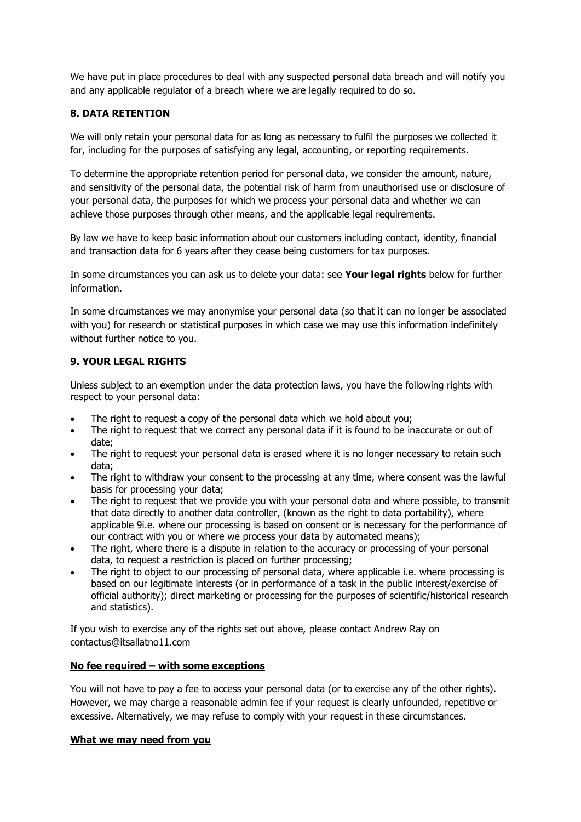We have put in place procedures to deal with any suspected personal data breach and will notify you and any applicable regulator of a breach where we are legally required to do so.

## **8. DATA RETENTION**

We will only retain your personal data for as long as necessary to fulfil the purposes we collected it for, including for the purposes of satisfying any legal, accounting, or reporting requirements.

To determine the appropriate retention period for personal data, we consider the amount, nature, and sensitivity of the personal data, the potential risk of harm from unauthorised use or disclosure of your personal data, the purposes for which we process your personal data and whether we can achieve those purposes through other means, and the applicable legal requirements.

By law we have to keep basic information about our customers including contact, identity, financial and transaction data for 6 years after they cease being customers for tax purposes.

In some circumstances you can ask us to delete your data: see **Your legal rights** below for further information.

In some circumstances we may anonymise your personal data (so that it can no longer be associated with you) for research or statistical purposes in which case we may use this information indefinitely without further notice to you.

# **9. YOUR LEGAL RIGHTS**

Unless subject to an exemption under the data protection laws, you have the following rights with respect to your personal data:

- The right to request a copy of the personal data which we hold about you;
- The right to request that we correct any personal data if it is found to be inaccurate or out of date;
- The right to request your personal data is erased where it is no longer necessary to retain such data;
- The right to withdraw your consent to the processing at any time, where consent was the lawful basis for processing your data;
- The right to request that we provide you with your personal data and where possible, to transmit that data directly to another data controller, (known as the right to data portability), where applicable 9i.e. where our processing is based on consent or is necessary for the performance of our contract with you or where we process your data by automated means);
- The right, where there is a dispute in relation to the accuracy or processing of your personal data, to request a restriction is placed on further processing;
- The right to object to our processing of personal data, where applicable i.e. where processing is based on our legitimate interests (or in performance of a task in the public interest/exercise of official authority); direct marketing or processing for the purposes of scientific/historical research and statistics).

If you wish to exercise any of the rights set out above, please contact Andrew Ray on contactus@itsallatno11.com

### **No fee required – with some exceptions**

You will not have to pay a fee to access your personal data (or to exercise any of the other rights). However, we may charge a reasonable admin fee if your request is clearly unfounded, repetitive or excessive. Alternatively, we may refuse to comply with your request in these circumstances.

### **What we may need from you**